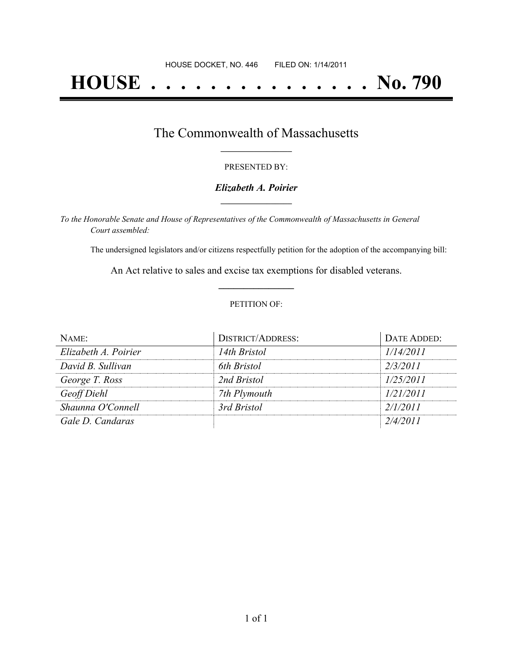# **HOUSE . . . . . . . . . . . . . . . No. 790**

## The Commonwealth of Massachusetts **\_\_\_\_\_\_\_\_\_\_\_\_\_\_\_\_\_**

#### PRESENTED BY:

#### *Elizabeth A. Poirier* **\_\_\_\_\_\_\_\_\_\_\_\_\_\_\_\_\_**

*To the Honorable Senate and House of Representatives of the Commonwealth of Massachusetts in General Court assembled:*

The undersigned legislators and/or citizens respectfully petition for the adoption of the accompanying bill:

An Act relative to sales and excise tax exemptions for disabled veterans. **\_\_\_\_\_\_\_\_\_\_\_\_\_\_\_**

#### PETITION OF:

| NAME:                | <b>DISTRICT/ADDRESS:</b> | DATE ADDED: |
|----------------------|--------------------------|-------------|
| Elizabeth A. Poirier | 14th Bristol             | 1/14/2011   |
| David B. Sullivan    | 6th Bristol              | 2/3/2011    |
| George T. Ross       | 2nd Bristol              | 1/25/2011   |
| Geoff Diehl          | 7th Plymouth             | 1/21/2011   |
| Shaunna O'Connell    | 3rd Bristol              | 2/1/2011    |
| Gale D. Candaras     |                          | 2/4/2011    |